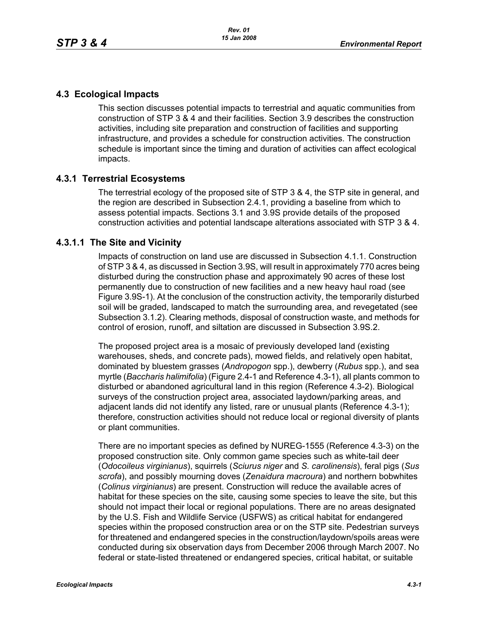# **4.3 Ecological Impacts**

This section discusses potential impacts to terrestrial and aquatic communities from construction of STP 3 & 4 and their facilities. Section 3.9 describes the construction activities, including site preparation and construction of facilities and supporting infrastructure, and provides a schedule for construction activities. The construction schedule is important since the timing and duration of activities can affect ecological impacts.

## **4.3.1 Terrestrial Ecosystems**

The terrestrial ecology of the proposed site of STP 3 & 4, the STP site in general, and the region are described in Subsection 2.4.1, providing a baseline from which to assess potential impacts. Sections 3.1 and 3.9S provide details of the proposed construction activities and potential landscape alterations associated with STP 3 & 4.

## **4.3.1.1 The Site and Vicinity**

Impacts of construction on land use are discussed in Subsection 4.1.1. Construction of STP 3 & 4, as discussed in Section 3.9S, will result in approximately 770 acres being disturbed during the construction phase and approximately 90 acres of these lost permanently due to construction of new facilities and a new heavy haul road (see Figure 3.9S-1). At the conclusion of the construction activity, the temporarily disturbed soil will be graded, landscaped to match the surrounding area, and revegetated (see Subsection 3.1.2). Clearing methods, disposal of construction waste, and methods for control of erosion, runoff, and siltation are discussed in Subsection 3.9S.2.

The proposed project area is a mosaic of previously developed land (existing warehouses, sheds, and concrete pads), mowed fields, and relatively open habitat, dominated by bluestem grasses (*Andropogon* spp.), dewberry (*Rubus* spp.), and sea myrtle (*Baccharis halimifolia*) (Figure 2.4-1 and Reference 4.3-1), all plants common to disturbed or abandoned agricultural land in this region (Reference 4.3-2). Biological surveys of the construction project area, associated laydown/parking areas, and adjacent lands did not identify any listed, rare or unusual plants (Reference 4.3-1); therefore, construction activities should not reduce local or regional diversity of plants or plant communities.

There are no important species as defined by NUREG-1555 (Reference 4.3-3) on the proposed construction site. Only common game species such as white-tail deer (*Odocoileus virginianus*), squirrels (*Sciurus niger* and *S. carolinensis*), feral pigs (*Sus scrofa*), and possibly mourning doves (*Zenaidura macroura*) and northern bobwhites (*Colinus virginianus*) are present. Construction will reduce the available acres of habitat for these species on the site, causing some species to leave the site, but this should not impact their local or regional populations. There are no areas designated by the U.S. Fish and Wildlife Service (USFWS) as critical habitat for endangered species within the proposed construction area or on the STP site. Pedestrian surveys for threatened and endangered species in the construction/laydown/spoils areas were conducted during six observation days from December 2006 through March 2007. No federal or state-listed threatened or endangered species, critical habitat, or suitable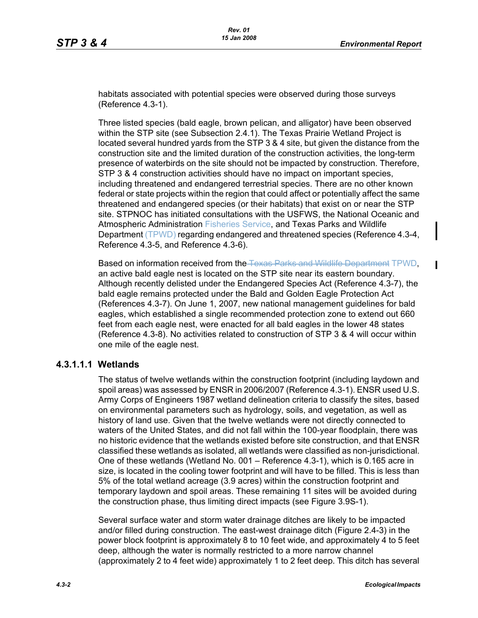habitats associated with potential species were observed during those surveys (Reference 4.3-1).

Three listed species (bald eagle, brown pelican, and alligator) have been observed within the STP site (see Subsection 2.4.1). The Texas Prairie Wetland Project is located several hundred yards from the STP 3 & 4 site, but given the distance from the construction site and the limited duration of the construction activities, the long-term presence of waterbirds on the site should not be impacted by construction. Therefore, STP 3 & 4 construction activities should have no impact on important species, including threatened and endangered terrestrial species. There are no other known federal or state projects within the region that could affect or potentially affect the same threatened and endangered species (or their habitats) that exist on or near the STP site. STPNOC has initiated consultations with the USFWS, the National Oceanic and Atmospheric Administration Fisheries Service, and Texas Parks and Wildlife Department (TPWD) regarding endangered and threatened species (Reference 4.3-4, Reference 4.3-5, and Reference 4.3-6).

Based on information received from the Texas Parks and Wildlife Department TPWD, an active bald eagle nest is located on the STP site near its eastern boundary. Although recently delisted under the Endangered Species Act (Reference 4.3-7), the bald eagle remains protected under the Bald and Golden Eagle Protection Act (References 4.3-7). On June 1, 2007, new national management guidelines for bald eagles, which established a single recommended protection zone to extend out 660 feet from each eagle nest, were enacted for all bald eagles in the lower 48 states (Reference 4.3-8). No activities related to construction of STP 3 & 4 will occur within one mile of the eagle nest.

#### **4.3.1.1.1 Wetlands**

The status of twelve wetlands within the construction footprint (including laydown and spoil areas) was assessed by ENSR in 2006/2007 (Reference 4.3-1). ENSR used U.S. Army Corps of Engineers 1987 wetland delineation criteria to classify the sites, based on environmental parameters such as hydrology, soils, and vegetation, as well as history of land use. Given that the twelve wetlands were not directly connected to waters of the United States, and did not fall within the 100-year floodplain, there was no historic evidence that the wetlands existed before site construction, and that ENSR classified these wetlands as isolated, all wetlands were classified as non-jurisdictional. One of these wetlands (Wetland No. 001 – Reference 4.3-1), which is 0.165 acre in size, is located in the cooling tower footprint and will have to be filled. This is less than 5% of the total wetland acreage (3.9 acres) within the construction footprint and temporary laydown and spoil areas. These remaining 11 sites will be avoided during the construction phase, thus limiting direct impacts (see Figure 3.9S-1).

Several surface water and storm water drainage ditches are likely to be impacted and/or filled during construction. The east-west drainage ditch (Figure 2.4-3) in the power block footprint is approximately 8 to 10 feet wide, and approximately 4 to 5 feet deep, although the water is normally restricted to a more narrow channel (approximately 2 to 4 feet wide) approximately 1 to 2 feet deep. This ditch has several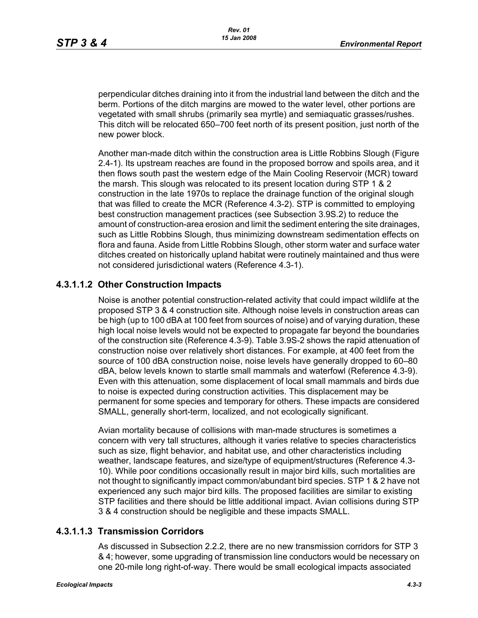perpendicular ditches draining into it from the industrial land between the ditch and the berm. Portions of the ditch margins are mowed to the water level, other portions are vegetated with small shrubs (primarily sea myrtle) and semiaquatic grasses/rushes. This ditch will be relocated 650–700 feet north of its present position, just north of the new power block.

Another man-made ditch within the construction area is Little Robbins Slough (Figure 2.4-1). Its upstream reaches are found in the proposed borrow and spoils area, and it then flows south past the western edge of the Main Cooling Reservoir (MCR) toward the marsh. This slough was relocated to its present location during STP 1 & 2 construction in the late 1970s to replace the drainage function of the original slough that was filled to create the MCR (Reference 4.3-2). STP is committed to employing best construction management practices (see Subsection 3.9S.2) to reduce the amount of construction-area erosion and limit the sediment entering the site drainages, such as Little Robbins Slough, thus minimizing downstream sedimentation effects on flora and fauna. Aside from Little Robbins Slough, other storm water and surface water ditches created on historically upland habitat were routinely maintained and thus were not considered jurisdictional waters (Reference 4.3-1).

# **4.3.1.1.2 Other Construction Impacts**

Noise is another potential construction-related activity that could impact wildlife at the proposed STP 3 & 4 construction site. Although noise levels in construction areas can be high (up to 100 dBA at 100 feet from sources of noise) and of varying duration, these high local noise levels would not be expected to propagate far beyond the boundaries of the construction site (Reference 4.3-9). Table 3.9S-2 shows the rapid attenuation of construction noise over relatively short distances. For example, at 400 feet from the source of 100 dBA construction noise, noise levels have generally dropped to 60–80 dBA, below levels known to startle small mammals and waterfowl (Reference 4.3-9). Even with this attenuation, some displacement of local small mammals and birds due to noise is expected during construction activities. This displacement may be permanent for some species and temporary for others. These impacts are considered SMALL, generally short-term, localized, and not ecologically significant.

Avian mortality because of collisions with man-made structures is sometimes a concern with very tall structures, although it varies relative to species characteristics such as size, flight behavior, and habitat use, and other characteristics including weather, landscape features, and size/type of equipment/structures (Reference 4.3- 10). While poor conditions occasionally result in major bird kills, such mortalities are not thought to significantly impact common/abundant bird species. STP 1 & 2 have not experienced any such major bird kills. The proposed facilities are similar to existing STP facilities and there should be little additional impact. Avian collisions during STP 3 & 4 construction should be negligible and these impacts SMALL.

## **4.3.1.1.3 Transmission Corridors**

As discussed in Subsection 2.2.2, there are no new transmission corridors for STP 3 & 4; however, some upgrading of transmission line conductors would be necessary on one 20-mile long right-of-way. There would be small ecological impacts associated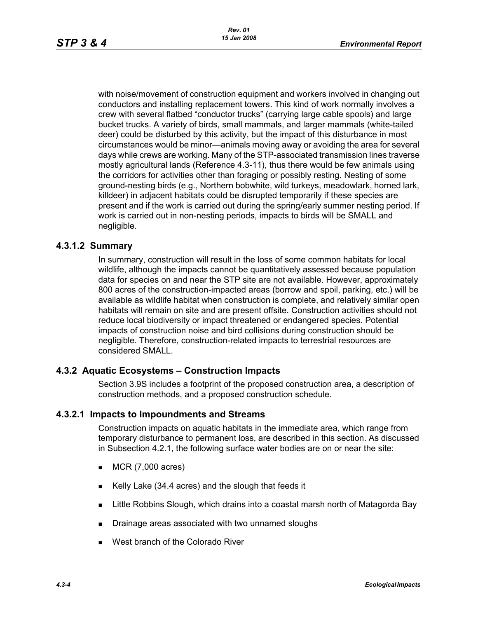with noise/movement of construction equipment and workers involved in changing out conductors and installing replacement towers. This kind of work normally involves a crew with several flatbed "conductor trucks" (carrying large cable spools) and large bucket trucks. A variety of birds, small mammals, and larger mammals (white-tailed deer) could be disturbed by this activity, but the impact of this disturbance in most circumstances would be minor—animals moving away or avoiding the area for several days while crews are working. Many of the STP-associated transmission lines traverse mostly agricultural lands (Reference 4.3-11), thus there would be few animals using the corridors for activities other than foraging or possibly resting. Nesting of some ground-nesting birds (e.g., Northern bobwhite, wild turkeys, meadowlark, horned lark, killdeer) in adjacent habitats could be disrupted temporarily if these species are present and if the work is carried out during the spring/early summer nesting period. If work is carried out in non-nesting periods, impacts to birds will be SMALL and negligible.

## **4.3.1.2 Summary**

In summary, construction will result in the loss of some common habitats for local wildlife, although the impacts cannot be quantitatively assessed because population data for species on and near the STP site are not available. However, approximately 800 acres of the construction-impacted areas (borrow and spoil, parking, etc.) will be available as wildlife habitat when construction is complete, and relatively similar open habitats will remain on site and are present offsite. Construction activities should not reduce local biodiversity or impact threatened or endangered species. Potential impacts of construction noise and bird collisions during construction should be negligible. Therefore, construction-related impacts to terrestrial resources are considered SMALL.

## **4.3.2 Aquatic Ecosystems – Construction Impacts**

Section 3.9S includes a footprint of the proposed construction area, a description of construction methods, and a proposed construction schedule.

#### **4.3.2.1 Impacts to Impoundments and Streams**

Construction impacts on aquatic habitats in the immediate area, which range from temporary disturbance to permanent loss, are described in this section. As discussed in Subsection 4.2.1, the following surface water bodies are on or near the site:

- $MCR(7,000 \text{ acres})$
- Kelly Lake  $(34.4 \text{ acres})$  and the slough that feeds it
- **Little Robbins Slough, which drains into a coastal marsh north of Matagorda Bay**
- **Drainage areas associated with two unnamed sloughs**
- West branch of the Colorado River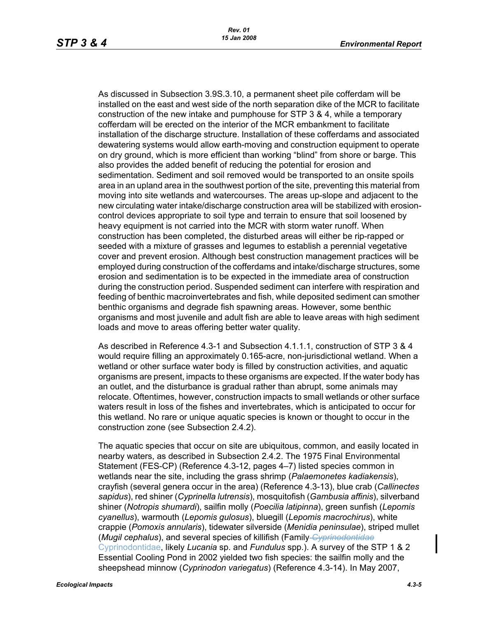As discussed in Subsection 3.9S.3.10, a permanent sheet pile cofferdam will be installed on the east and west side of the north separation dike of the MCR to facilitate construction of the new intake and pumphouse for STP 3 & 4, while a temporary cofferdam will be erected on the interior of the MCR embankment to facilitate installation of the discharge structure. Installation of these cofferdams and associated dewatering systems would allow earth-moving and construction equipment to operate on dry ground, which is more efficient than working "blind" from shore or barge. This also provides the added benefit of reducing the potential for erosion and sedimentation. Sediment and soil removed would be transported to an onsite spoils area in an upland area in the southwest portion of the site, preventing this material from moving into site wetlands and watercourses. The areas up-slope and adjacent to the new circulating water intake/discharge construction area will be stabilized with erosioncontrol devices appropriate to soil type and terrain to ensure that soil loosened by heavy equipment is not carried into the MCR with storm water runoff. When construction has been completed, the disturbed areas will either be rip-rapped or seeded with a mixture of grasses and legumes to establish a perennial vegetative cover and prevent erosion. Although best construction management practices will be employed during construction of the cofferdams and intake/discharge structures, some erosion and sedimentation is to be expected in the immediate area of construction during the construction period. Suspended sediment can interfere with respiration and feeding of benthic macroinvertebrates and fish, while deposited sediment can smother benthic organisms and degrade fish spawning areas. However, some benthic organisms and most juvenile and adult fish are able to leave areas with high sediment loads and move to areas offering better water quality.

As described in Reference 4.3-1 and Subsection 4.1.1.1, construction of STP 3 & 4 would require filling an approximately 0.165-acre, non-jurisdictional wetland. When a wetland or other surface water body is filled by construction activities, and aquatic organisms are present, impacts to these organisms are expected. If the water body has an outlet, and the disturbance is gradual rather than abrupt, some animals may relocate. Oftentimes, however, construction impacts to small wetlands or other surface waters result in loss of the fishes and invertebrates, which is anticipated to occur for this wetland. No rare or unique aquatic species is known or thought to occur in the construction zone (see Subsection 2.4.2).

The aquatic species that occur on site are ubiquitous, common, and easily located in nearby waters, as described in Subsection 2.4.2. The 1975 Final Environmental Statement (FES-CP) (Reference 4.3-12, pages 4–7) listed species common in wetlands near the site, including the grass shrimp (*Palaemonetes kadiakensis*), crayfish (several genera occur in the area) (Reference 4.3-13), blue crab (*Callinectes sapidus*), red shiner (*Cyprinella lutrensis*), mosquitofish (*Gambusia affinis*), silverband shiner (*Notropis shumardi*), sailfin molly (*Poecilia latipinna*), green sunfish (*Lepomis cyanellus*), warmouth (*Lepomis gulosus*), bluegill (*Lepomis macrochirus*), white crappie (*Pomoxis annularis*), tidewater silverside (*Menidia peninsulae*), striped mullet (*Mugil cephalus*), and several species of killifish (Family *Cyprinodontidae* Cyprinodontidae, likely *Lucania* sp. and *Fundulus* spp.). A survey of the STP 1 & 2 Essential Cooling Pond in 2002 yielded two fish species: the sailfin molly and the sheepshead minnow (*Cyprinodon variegatus*) (Reference 4.3-14). In May 2007,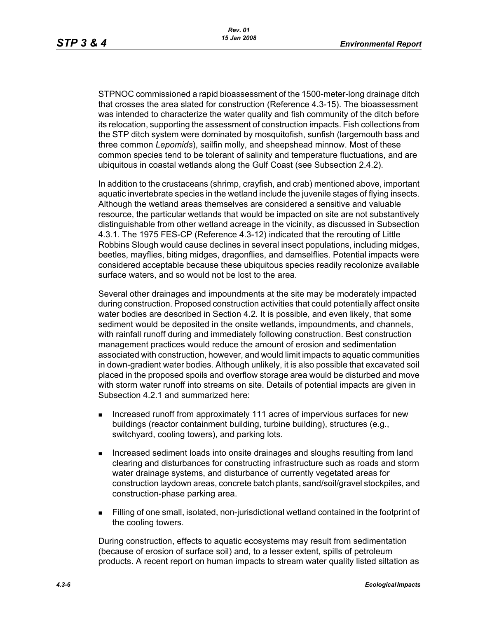STPNOC commissioned a rapid bioassessment of the 1500-meter-long drainage ditch that crosses the area slated for construction (Reference 4.3-15). The bioassessment was intended to characterize the water quality and fish community of the ditch before its relocation, supporting the assessment of construction impacts. Fish collections from the STP ditch system were dominated by mosquitofish, sunfish (largemouth bass and three common *Lepomids*), sailfin molly, and sheepshead minnow. Most of these common species tend to be tolerant of salinity and temperature fluctuations, and are ubiquitous in coastal wetlands along the Gulf Coast (see Subsection 2.4.2).

In addition to the crustaceans (shrimp, crayfish, and crab) mentioned above, important aquatic invertebrate species in the wetland include the juvenile stages of flying insects. Although the wetland areas themselves are considered a sensitive and valuable resource, the particular wetlands that would be impacted on site are not substantively distinguishable from other wetland acreage in the vicinity, as discussed in Subsection 4.3.1. The 1975 FES-CP (Reference 4.3-12) indicated that the rerouting of Little Robbins Slough would cause declines in several insect populations, including midges, beetles, mayflies, biting midges, dragonflies, and damselflies. Potential impacts were considered acceptable because these ubiquitous species readily recolonize available surface waters, and so would not be lost to the area.

Several other drainages and impoundments at the site may be moderately impacted during construction. Proposed construction activities that could potentially affect onsite water bodies are described in Section 4.2. It is possible, and even likely, that some sediment would be deposited in the onsite wetlands, impoundments, and channels, with rainfall runoff during and immediately following construction. Best construction management practices would reduce the amount of erosion and sedimentation associated with construction, however, and would limit impacts to aquatic communities in down-gradient water bodies. Although unlikely, it is also possible that excavated soil placed in the proposed spoils and overflow storage area would be disturbed and move with storm water runoff into streams on site. Details of potential impacts are given in Subsection 4.2.1 and summarized here:

- **Increased runoff from approximately 111 acres of impervious surfaces for new** buildings (reactor containment building, turbine building), structures (e.g., switchyard, cooling towers), and parking lots.
- Increased sediment loads into onsite drainages and sloughs resulting from land clearing and disturbances for constructing infrastructure such as roads and storm water drainage systems, and disturbance of currently vegetated areas for construction laydown areas, concrete batch plants, sand/soil/gravel stockpiles, and construction-phase parking area.
- Filling of one small, isolated, non-jurisdictional wetland contained in the footprint of the cooling towers.

During construction, effects to aquatic ecosystems may result from sedimentation (because of erosion of surface soil) and, to a lesser extent, spills of petroleum products. A recent report on human impacts to stream water quality listed siltation as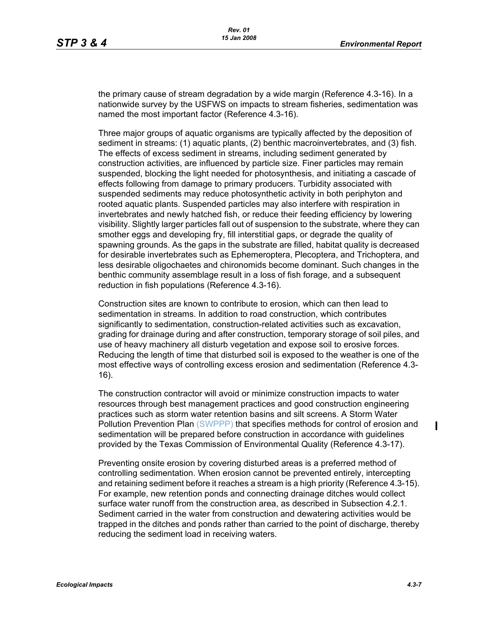the primary cause of stream degradation by a wide margin (Reference 4.3-16). In a nationwide survey by the USFWS on impacts to stream fisheries, sedimentation was named the most important factor (Reference 4.3-16).

Three major groups of aquatic organisms are typically affected by the deposition of sediment in streams: (1) aquatic plants, (2) benthic macroinvertebrates, and (3) fish. The effects of excess sediment in streams, including sediment generated by construction activities, are influenced by particle size. Finer particles may remain suspended, blocking the light needed for photosynthesis, and initiating a cascade of effects following from damage to primary producers. Turbidity associated with suspended sediments may reduce photosynthetic activity in both periphyton and rooted aquatic plants. Suspended particles may also interfere with respiration in invertebrates and newly hatched fish, or reduce their feeding efficiency by lowering visibility. Slightly larger particles fall out of suspension to the substrate, where they can smother eggs and developing fry, fill interstitial gaps, or degrade the quality of spawning grounds. As the gaps in the substrate are filled, habitat quality is decreased for desirable invertebrates such as Ephemeroptera, Plecoptera, and Trichoptera, and less desirable oligochaetes and chironomids become dominant. Such changes in the benthic community assemblage result in a loss of fish forage, and a subsequent reduction in fish populations (Reference 4.3-16).

Construction sites are known to contribute to erosion, which can then lead to sedimentation in streams. In addition to road construction, which contributes significantly to sedimentation, construction-related activities such as excavation, grading for drainage during and after construction, temporary storage of soil piles, and use of heavy machinery all disturb vegetation and expose soil to erosive forces. Reducing the length of time that disturbed soil is exposed to the weather is one of the most effective ways of controlling excess erosion and sedimentation (Reference 4.3- 16).

The construction contractor will avoid or minimize construction impacts to water resources through best management practices and good construction engineering practices such as storm water retention basins and silt screens. A Storm Water Pollution Prevention Plan (SWPPP) that specifies methods for control of erosion and sedimentation will be prepared before construction in accordance with guidelines provided by the Texas Commission of Environmental Quality (Reference 4.3-17).

Preventing onsite erosion by covering disturbed areas is a preferred method of controlling sedimentation. When erosion cannot be prevented entirely, intercepting and retaining sediment before it reaches a stream is a high priority (Reference 4.3-15). For example, new retention ponds and connecting drainage ditches would collect surface water runoff from the construction area, as described in Subsection 4.2.1. Sediment carried in the water from construction and dewatering activities would be trapped in the ditches and ponds rather than carried to the point of discharge, thereby reducing the sediment load in receiving waters.

 $\mathbf I$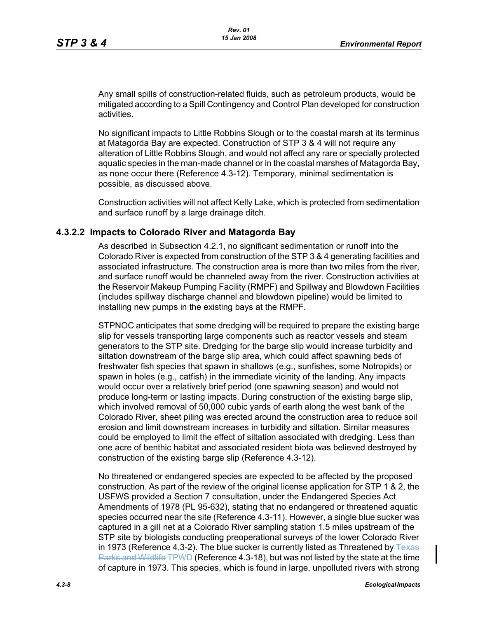Any small spills of construction-related fluids, such as petroleum products, would be mitigated according to a Spill Contingency and Control Plan developed for construction activities.

No significant impacts to Little Robbins Slough or to the coastal marsh at its terminus at Matagorda Bay are expected. Construction of STP 3 & 4 will not require any alteration of Little Robbins Slough, and would not affect any rare or specially protected aquatic species in the man-made channel or in the coastal marshes of Matagorda Bay, as none occur there (Reference 4.3-12). Temporary, minimal sedimentation is possible, as discussed above.

Construction activities will not affect Kelly Lake, which is protected from sedimentation and surface runoff by a large drainage ditch.

#### **4.3.2.2 Impacts to Colorado River and Matagorda Bay**

As described in Subsection 4.2.1, no significant sedimentation or runoff into the Colorado River is expected from construction of the STP 3 & 4 generating facilities and associated infrastructure. The construction area is more than two miles from the river, and surface runoff would be channeled away from the river. Construction activities at the Reservoir Makeup Pumping Facility (RMPF) and Spillway and Blowdown Facilities (includes spillway discharge channel and blowdown pipeline) would be limited to installing new pumps in the existing bays at the RMPF.

STPNOC anticipates that some dredging will be required to prepare the existing barge slip for vessels transporting large components such as reactor vessels and steam generators to the STP site. Dredging for the barge slip would increase turbidity and siltation downstream of the barge slip area, which could affect spawning beds of freshwater fish species that spawn in shallows (e.g., sunfishes, some Notropids) or spawn in holes (e.g., catfish) in the immediate vicinity of the landing. Any impacts would occur over a relatively brief period (one spawning season) and would not produce long-term or lasting impacts. During construction of the existing barge slip, which involved removal of 50,000 cubic yards of earth along the west bank of the Colorado River, sheet piling was erected around the construction area to reduce soil erosion and limit downstream increases in turbidity and siltation. Similar measures could be employed to limit the effect of siltation associated with dredging. Less than one acre of benthic habitat and associated resident biota was believed destroyed by construction of the existing barge slip (Reference 4.3-12).

No threatened or endangered species are expected to be affected by the proposed construction. As part of the review of the original license application for STP 1 & 2, the USFWS provided a Section 7 consultation, under the Endangered Species Act Amendments of 1978 (PL 95-632), stating that no endangered or threatened aquatic species occurred near the site (Reference 4.3-11). However, a single blue sucker was captured in a gill net at a Colorado River sampling station 1.5 miles upstream of the STP site by biologists conducting preoperational surveys of the lower Colorado River in 1973 (Reference 4.3-2). The blue sucker is currently listed as Threatened by  $T_{\text{EXAS}}$ Parks and Wildlife TPWD (Reference 4.3-18), but was not listed by the state at the time of capture in 1973. This species, which is found in large, unpolluted rivers with strong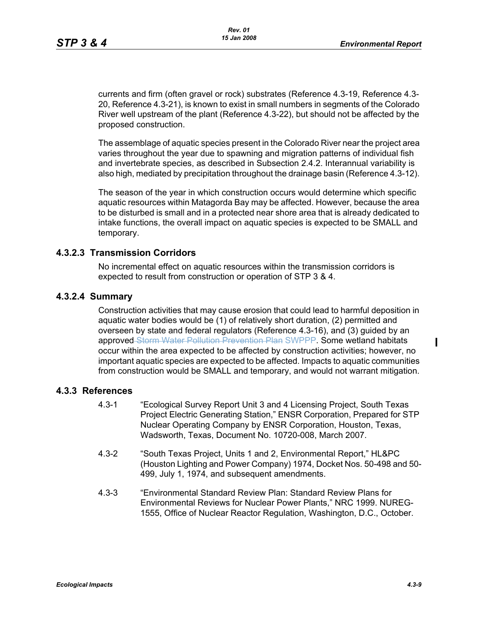currents and firm (often gravel or rock) substrates (Reference 4.3-19, Reference 4.3- 20, Reference 4.3-21), is known to exist in small numbers in segments of the Colorado River well upstream of the plant (Reference 4.3-22), but should not be affected by the proposed construction.

The assemblage of aquatic species present in the Colorado River near the project area varies throughout the year due to spawning and migration patterns of individual fish and invertebrate species, as described in Subsection 2.4.2. Interannual variability is also high, mediated by precipitation throughout the drainage basin (Reference 4.3-12).

The season of the year in which construction occurs would determine which specific aquatic resources within Matagorda Bay may be affected. However, because the area to be disturbed is small and in a protected near shore area that is already dedicated to intake functions, the overall impact on aquatic species is expected to be SMALL and temporary.

## **4.3.2.3 Transmission Corridors**

No incremental effect on aquatic resources within the transmission corridors is expected to result from construction or operation of STP 3 & 4.

#### **4.3.2.4 Summary**

Construction activities that may cause erosion that could lead to harmful deposition in aquatic water bodies would be (1) of relatively short duration, (2) permitted and overseen by state and federal regulators (Reference 4.3-16), and (3) guided by an approved Storm Water Pollution Prevention Plan SWPPP. Some wetland habitats occur within the area expected to be affected by construction activities; however, no important aquatic species are expected to be affected. Impacts to aquatic communities from construction would be SMALL and temporary, and would not warrant mitigation.

#### **4.3.3 References**

- 4.3-1 "Ecological Survey Report Unit 3 and 4 Licensing Project, South Texas Project Electric Generating Station," ENSR Corporation, Prepared for STP Nuclear Operating Company by ENSR Corporation, Houston, Texas, Wadsworth, Texas, Document No. 10720-008, March 2007.
- 4.3-2 "South Texas Project, Units 1 and 2, Environmental Report," HL&PC (Houston Lighting and Power Company) 1974, Docket Nos. 50-498 and 50- 499, July 1, 1974, and subsequent amendments.
- 4.3-3 "Environmental Standard Review Plan: Standard Review Plans for Environmental Reviews for Nuclear Power Plants," NRC 1999. NUREG-1555, Office of Nuclear Reactor Regulation, Washington, D.C., October.

П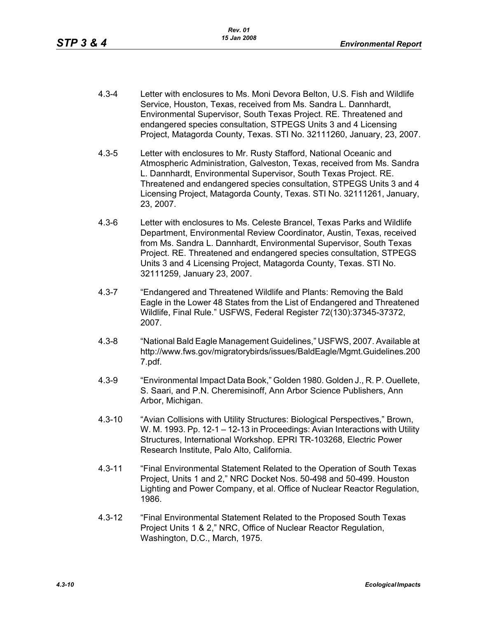- 4.3-4 Letter with enclosures to Ms. Moni Devora Belton, U.S. Fish and Wildlife Service, Houston, Texas, received from Ms. Sandra L. Dannhardt, Environmental Supervisor, South Texas Project. RE. Threatened and endangered species consultation, STPEGS Units 3 and 4 Licensing Project, Matagorda County, Texas. STI No. 32111260, January, 23, 2007.
- 4.3-5 Letter with enclosures to Mr. Rusty Stafford, National Oceanic and Atmospheric Administration, Galveston, Texas, received from Ms. Sandra L. Dannhardt, Environmental Supervisor, South Texas Project. RE. Threatened and endangered species consultation, STPEGS Units 3 and 4 Licensing Project, Matagorda County, Texas. STI No. 32111261, January, 23, 2007.
- 4.3-6 Letter with enclosures to Ms. Celeste Brancel, Texas Parks and Wildlife Department, Environmental Review Coordinator, Austin, Texas, received from Ms. Sandra L. Dannhardt, Environmental Supervisor, South Texas Project. RE. Threatened and endangered species consultation, STPEGS Units 3 and 4 Licensing Project, Matagorda County, Texas. STI No. 32111259, January 23, 2007.
- 4.3-7 "Endangered and Threatened Wildlife and Plants: Removing the Bald Eagle in the Lower 48 States from the List of Endangered and Threatened Wildlife, Final Rule." USFWS, Federal Register 72(130):37345-37372, 2007.
- 4.3-8 "National Bald Eagle Management Guidelines," USFWS, 2007. Available at http://www.fws.gov/migratorybirds/issues/BaldEagle/Mgmt.Guidelines.200 7.pdf.
- 4.3-9 "Environmental Impact Data Book," Golden 1980. Golden J., R. P. Ouellete, S. Saari, and P.N. Cheremisinoff, Ann Arbor Science Publishers, Ann Arbor, Michigan.
- 4.3-10 "Avian Collisions with Utility Structures: Biological Perspectives," Brown, W. M. 1993. Pp. 12-1 – 12-13 in Proceedings: Avian Interactions with Utility Structures, International Workshop. EPRI TR-103268, Electric Power Research Institute, Palo Alto, California.
- 4.3-11 "Final Environmental Statement Related to the Operation of South Texas Project, Units 1 and 2," NRC Docket Nos. 50-498 and 50-499. Houston Lighting and Power Company, et al. Office of Nuclear Reactor Regulation, 1986.
- 4.3-12 "Final Environmental Statement Related to the Proposed South Texas Project Units 1 & 2," NRC, Office of Nuclear Reactor Regulation, Washington, D.C., March, 1975.